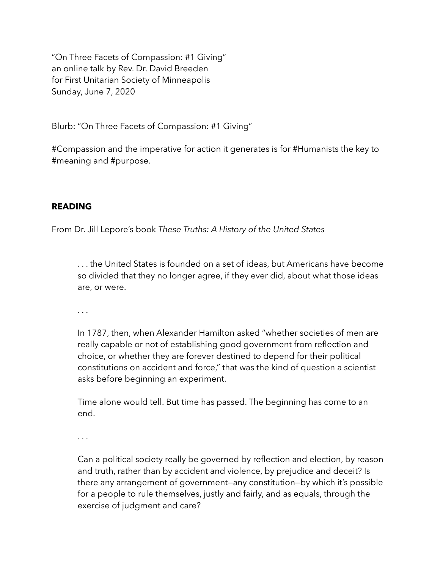"On Three Facets of Compassion: #1 Giving" an online talk by Rev. Dr. David Breeden for First Unitarian Society of Minneapolis Sunday, June 7, 2020

Blurb: "On Three Facets of Compassion: #1 Giving"

#Compassion and the imperative for action it generates is for #Humanists the key to #meaning and #purpose.

## **READING**

From Dr. Jill Lepore's book *These Truths: A History of the United States* 

. . . the United States is founded on a set of ideas, but Americans have become so divided that they no longer agree, if they ever did, about what those ideas are, or were.

. . .

In 1787, then, when Alexander Hamilton asked "whether societies of men are really capable or not of establishing good government from reflection and choice, or whether they are forever destined to depend for their political constitutions on accident and force," that was the kind of question a scientist asks before beginning an experiment.

Time alone would tell. But time has passed. The beginning has come to an end.

. . .

Can a political society really be governed by reflection and election, by reason and truth, rather than by accident and violence, by prejudice and deceit? Is there any arrangement of government—any constitution—by which it's possible for a people to rule themselves, justly and fairly, and as equals, through the exercise of judgment and care?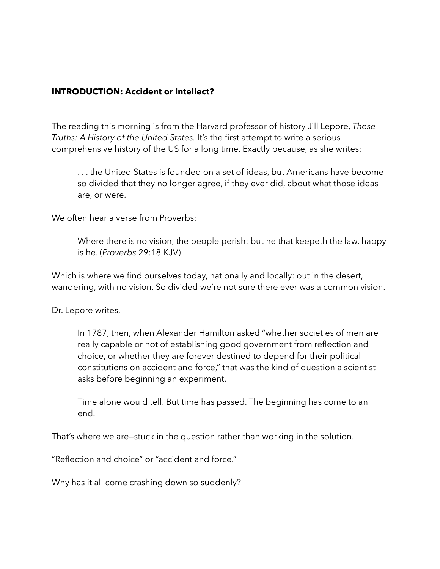### **INTRODUCTION: Accident or Intellect?**

The reading this morning is from the Harvard professor of history Jill Lepore, *These Truths: A History of the United States.* It's the first attempt to write a serious comprehensive history of the US for a long time. Exactly because, as she writes:

. . . the United States is founded on a set of ideas, but Americans have become so divided that they no longer agree, if they ever did, about what those ideas are, or were.

We often hear a verse from Proverbs:

Where there is no vision, the people perish: but he that keepeth the law, happy is he. (*Proverbs* 29:18 KJV)

Which is where we find ourselves today, nationally and locally: out in the desert, wandering, with no vision. So divided we're not sure there ever was a common vision.

Dr. Lepore writes,

In 1787, then, when Alexander Hamilton asked "whether societies of men are really capable or not of establishing good government from reflection and choice, or whether they are forever destined to depend for their political constitutions on accident and force," that was the kind of question a scientist asks before beginning an experiment.

Time alone would tell. But time has passed. The beginning has come to an end.

That's where we are—stuck in the question rather than working in the solution.

"Reflection and choice" or "accident and force."

Why has it all come crashing down so suddenly?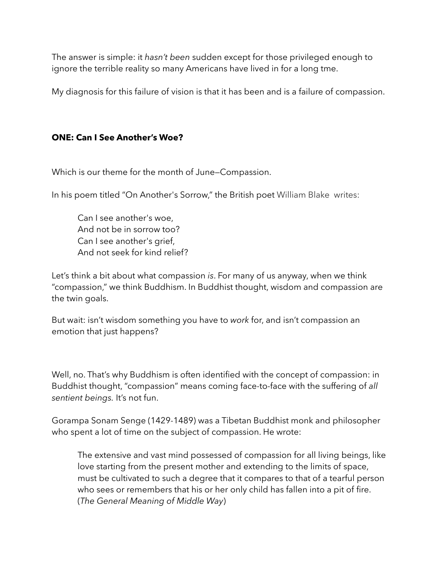The answer is simple: it *hasn't been* sudden except for those privileged enough to ignore the terrible reality so many Americans have lived in for a long tme.

My diagnosis for this failure of vision is that it has been and is a failure of compassion.

# **ONE: Can I See Another's Woe?**

Which is our theme for the month of June—Compassion.

In his poem titled "On Another's Sorrow," the British poet William Blake writes:

Can I see another's woe, And not be in sorrow too? Can I see another's grief, And not seek for kind relief?

Let's think a bit about what compassion *is*. For many of us anyway, when we think "compassion," we think Buddhism. In Buddhist thought, wisdom and compassion are the twin goals.

But wait: isn't wisdom something you have to *work* for, and isn't compassion an emotion that just happens?

Well, no. That's why Buddhism is often identified with the concept of compassion: in Buddhist thought, "compassion" means coming face-to-face with the suffering of *all sentient beings.* It's not fun.

Gorampa Sonam Senge (1429-1489) was a Tibetan Buddhist monk and philosopher who spent a lot of time on the subject of compassion. He wrote:

The extensive and vast mind possessed of compassion for all living beings, like love starting from the present mother and extending to the limits of space, must be cultivated to such a degree that it compares to that of a tearful person who sees or remembers that his or her only child has fallen into a pit of fire. (*The General Meaning of Middle Way*)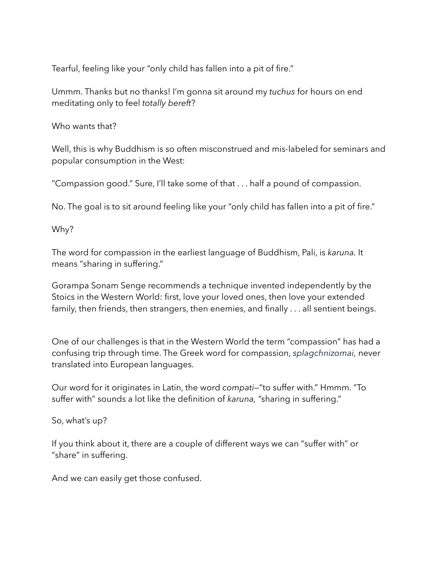Tearful, feeling like your "only child has fallen into a pit of fire."

Ummm. Thanks but no thanks! I'm gonna sit around my *tuchus* for hours on end meditating only to feel *totally bereft*?

Who wants that?

Well, this is why Buddhism is so often misconstrued and mis-labeled for seminars and popular consumption in the West:

"Compassion good." Sure, I'll take some of that . . . half a pound of compassion.

No. The goal is to sit around feeling like your "only child has fallen into a pit of fire."

Why?

The word for compassion in the earliest language of Buddhism, Pali, is *karuna.* It means "sharing in suffering."

Gorampa Sonam Senge recommends a technique invented independently by the Stoics in the Western World: first, love your loved ones, then love your extended family, then friends, then strangers, then enemies, and finally . . . all sentient beings.

One of our challenges is that in the Western World the term "compassion" has had a confusing trip through time. The Greek word for compassion, *splagchnizomai,* never translated into European languages.

Our word for it originates in Latin, the word *compati*—"to suffer with." Hmmm. "To suffer with" sounds a lot like the definition of *karuna, "*sharing in suffering."

So, what's up?

If you think about it, there are a couple of different ways we can "suffer with" or "share" in suffering.

And we can easily get those confused.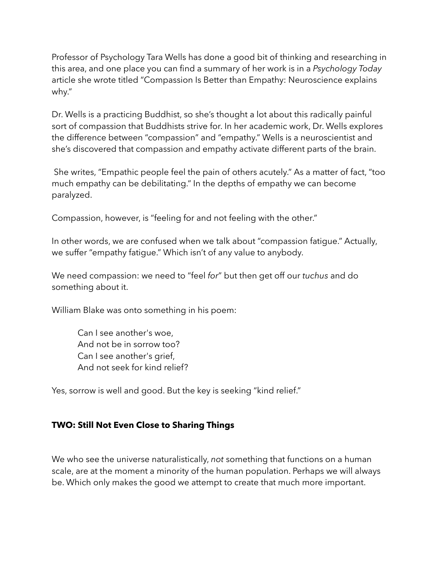Professor of Psychology Tara Wells has done a good bit of thinking and researching in this area, and one place you can find a summary of her work is in a *Psychology Today*  article she wrote titled "Compassion Is Better than Empathy: Neuroscience explains why."

Dr. Wells is a practicing Buddhist, so she's thought a lot about this radically painful sort of compassion that Buddhists strive for. In her academic work, Dr. Wells explores the difference between "compassion" and "empathy." Wells is a neuroscientist and she's discovered that compassion and empathy activate different parts of the brain.

 She writes, "Empathic people feel the pain of others acutely." As a matter of fact, "too much empathy can be debilitating." In the depths of empathy we can become paralyzed.

Compassion, however, is "feeling for and not feeling with the other."

In other words, we are confused when we talk about "compassion fatigue." Actually, we suffer "empathy fatigue." Which isn't of any value to anybody.

We need compassion: we need to "feel *for*" but then get off our *tuchus* and do something about it.

William Blake was onto something in his poem:

Can I see another's woe, And not be in sorrow too? Can I see another's grief, And not seek for kind relief?

Yes, sorrow is well and good. But the key is seeking "kind relief."

#### **TWO: Still Not Even Close to Sharing Things**

We who see the universe naturalistically, *not* something that functions on a human scale, are at the moment a minority of the human population. Perhaps we will always be. Which only makes the good we attempt to create that much more important.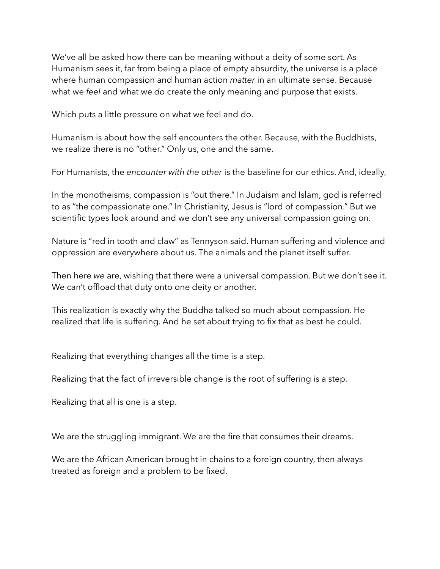We've all be asked how there can be meaning without a deity of some sort. As Humanism sees it, far from being a place of empty absurdity, the universe is a place where human compassion and human action *matter* in an ultimate sense. Because what we *feel* and what we *do* create the only meaning and purpose that exists.

Which puts a little pressure on what we feel and do.

Humanism is about how the self encounters the other. Because, with the Buddhists, we realize there is no "other." Only us, one and the same.

For Humanists, the *encounter with the other* is the baseline for our ethics. And, ideally,

In the monotheisms, compassion is "out there." In Judaism and Islam, god is referred to as "the compassionate one." In Christianity, Jesus is "lord of compassion." But we scientific types look around and we don't see any universal compassion going on.

Nature is "red in tooth and claw" as Tennyson said. Human suffering and violence and oppression are everywhere about us. The animals and the planet itself suffer.

Then here *we* are, wishing that there were a universal compassion. But we don't see it. We can't offload that duty onto one deity or another.

This realization is exactly why the Buddha talked so much about compassion. He realized that life is suffering. And he set about trying to fix that as best he could.

Realizing that everything changes all the time is a step.

Realizing that the fact of irreversible change is the root of suffering is a step.

Realizing that all is one is a step.

We are the struggling immigrant. We are the fire that consumes their dreams.

We are the African American brought in chains to a foreign country, then always treated as foreign and a problem to be fixed.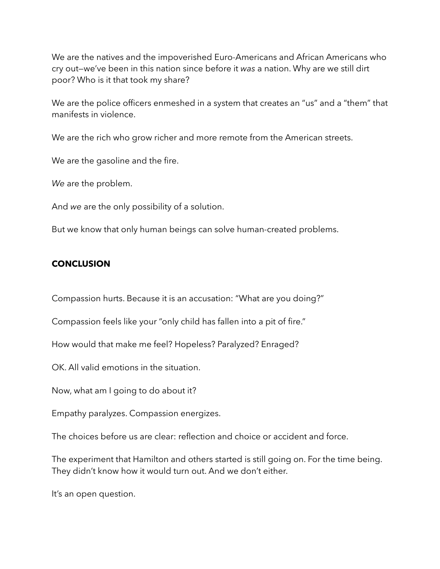We are the natives and the impoverished Euro-Americans and African Americans who cry out—we've been in this nation since before it *was* a nation. Why are we still dirt poor? Who is it that took my share?

We are the police officers enmeshed in a system that creates an "us" and a "them" that manifests in violence.

We are the rich who grow richer and more remote from the American streets.

We are the gasoline and the fire.

*We* are the problem.

And *we* are the only possibility of a solution.

But we know that only human beings can solve human-created problems.

## **CONCLUSION**

Compassion hurts. Because it is an accusation: "What are you doing?"

Compassion feels like your "only child has fallen into a pit of fire."

How would that make me feel? Hopeless? Paralyzed? Enraged?

OK. All valid emotions in the situation.

Now, what am I going to do about it?

Empathy paralyzes. Compassion energizes.

The choices before us are clear: reflection and choice or accident and force.

The experiment that Hamilton and others started is still going on. For the time being. They didn't know how it would turn out. And we don't either.

It's an open question.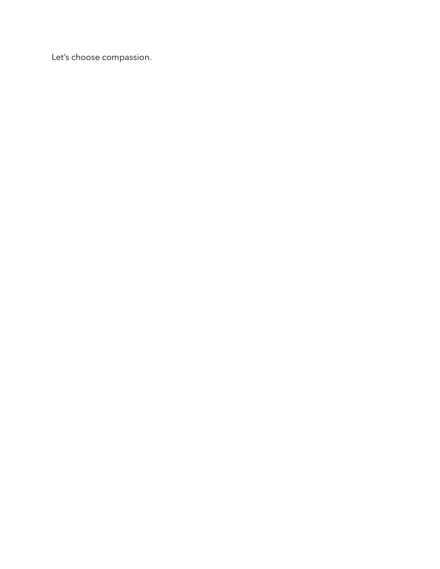Let's choose compassion.